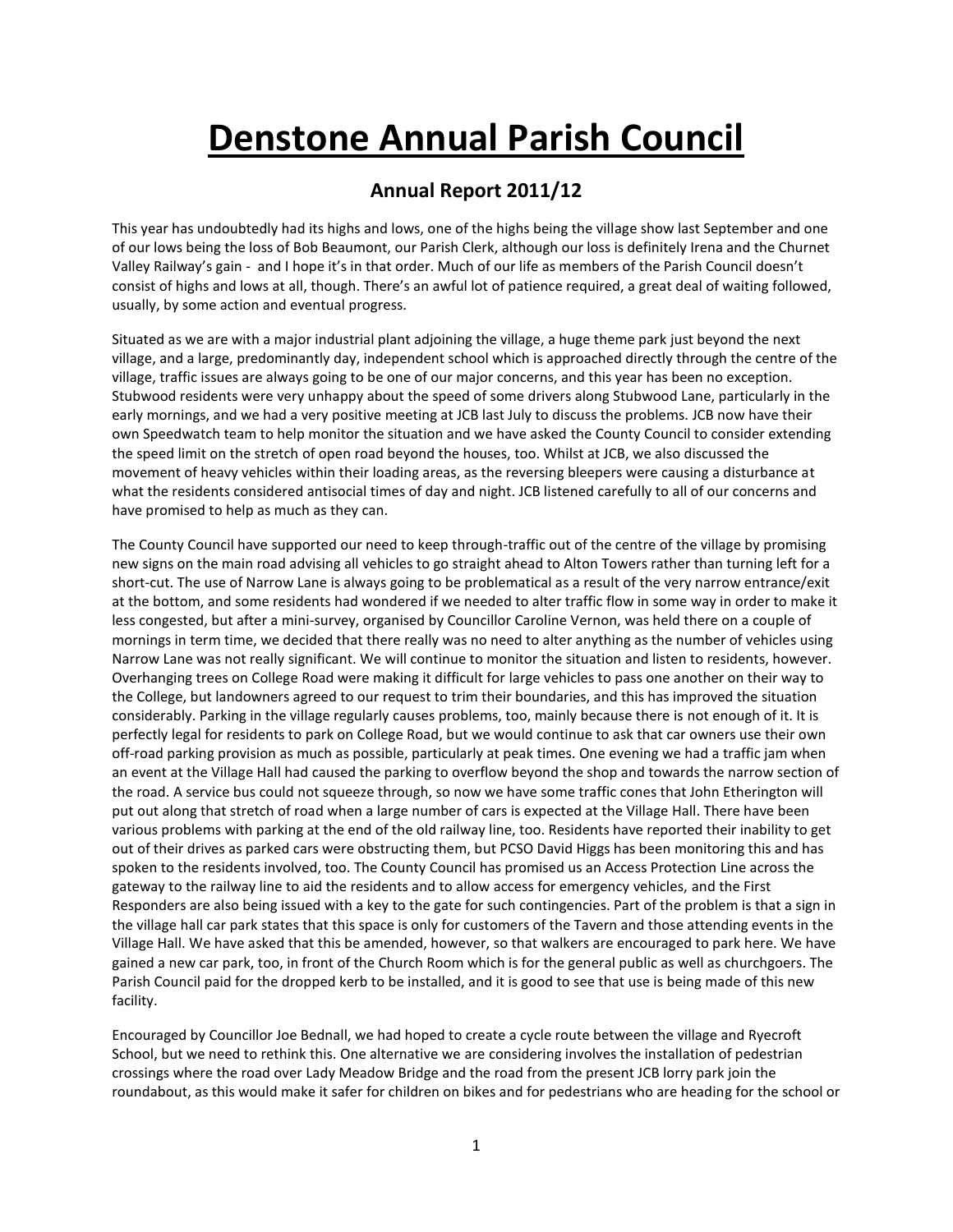# **Denstone Annual Parish Council**

# **Annual Report 2011/12**

This year has undoubtedly had its highs and lows, one of the highs being the village show last September and one of our lows being the loss of Bob Beaumont, our Parish Clerk, although our loss is definitely Irena and the Churnet Valley Railway's gain - and I hope it's in that order. Much of our life as members of the Parish Council doesn't consist of highs and lows at all, though. There's an awful lot of patience required, a great deal of waiting followed, usually, by some action and eventual progress.

Situated as we are with a major industrial plant adjoining the village, a huge theme park just beyond the next village, and a large, predominantly day, independent school which is approached directly through the centre of the village, traffic issues are always going to be one of our major concerns, and this year has been no exception. Stubwood residents were very unhappy about the speed of some drivers along Stubwood Lane, particularly in the early mornings, and we had a very positive meeting at JCB last July to discuss the problems. JCB now have their own Speedwatch team to help monitor the situation and we have asked the County Council to consider extending the speed limit on the stretch of open road beyond the houses, too. Whilst at JCB, we also discussed the movement of heavy vehicles within their loading areas, as the reversing bleepers were causing a disturbance at what the residents considered antisocial times of day and night. JCB listened carefully to all of our concerns and have promised to help as much as they can.

The County Council have supported our need to keep through-traffic out of the centre of the village by promising new signs on the main road advising all vehicles to go straight ahead to Alton Towers rather than turning left for a short-cut. The use of Narrow Lane is always going to be problematical as a result of the very narrow entrance/exit at the bottom, and some residents had wondered if we needed to alter traffic flow in some way in order to make it less congested, but after a mini-survey, organised by Councillor Caroline Vernon, was held there on a couple of mornings in term time, we decided that there really was no need to alter anything as the number of vehicles using Narrow Lane was not really significant. We will continue to monitor the situation and listen to residents, however. Overhanging trees on College Road were making it difficult for large vehicles to pass one another on their way to the College, but landowners agreed to our request to trim their boundaries, and this has improved the situation considerably. Parking in the village regularly causes problems, too, mainly because there is not enough of it. It is perfectly legal for residents to park on College Road, but we would continue to ask that car owners use their own off-road parking provision as much as possible, particularly at peak times. One evening we had a traffic jam when an event at the Village Hall had caused the parking to overflow beyond the shop and towards the narrow section of the road. A service bus could not squeeze through, so now we have some traffic cones that John Etherington will put out along that stretch of road when a large number of cars is expected at the Village Hall. There have been various problems with parking at the end of the old railway line, too. Residents have reported their inability to get out of their drives as parked cars were obstructing them, but PCSO David Higgs has been monitoring this and has spoken to the residents involved, too. The County Council has promised us an Access Protection Line across the gateway to the railway line to aid the residents and to allow access for emergency vehicles, and the First Responders are also being issued with a key to the gate for such contingencies. Part of the problem is that a sign in the village hall car park states that this space is only for customers of the Tavern and those attending events in the Village Hall. We have asked that this be amended, however, so that walkers are encouraged to park here. We have gained a new car park, too, in front of the Church Room which is for the general public as well as churchgoers. The Parish Council paid for the dropped kerb to be installed, and it is good to see that use is being made of this new facility.

Encouraged by Councillor Joe Bednall, we had hoped to create a cycle route between the village and Ryecroft School, but we need to rethink this. One alternative we are considering involves the installation of pedestrian crossings where the road over Lady Meadow Bridge and the road from the present JCB lorry park join the roundabout, as this would make it safer for children on bikes and for pedestrians who are heading for the school or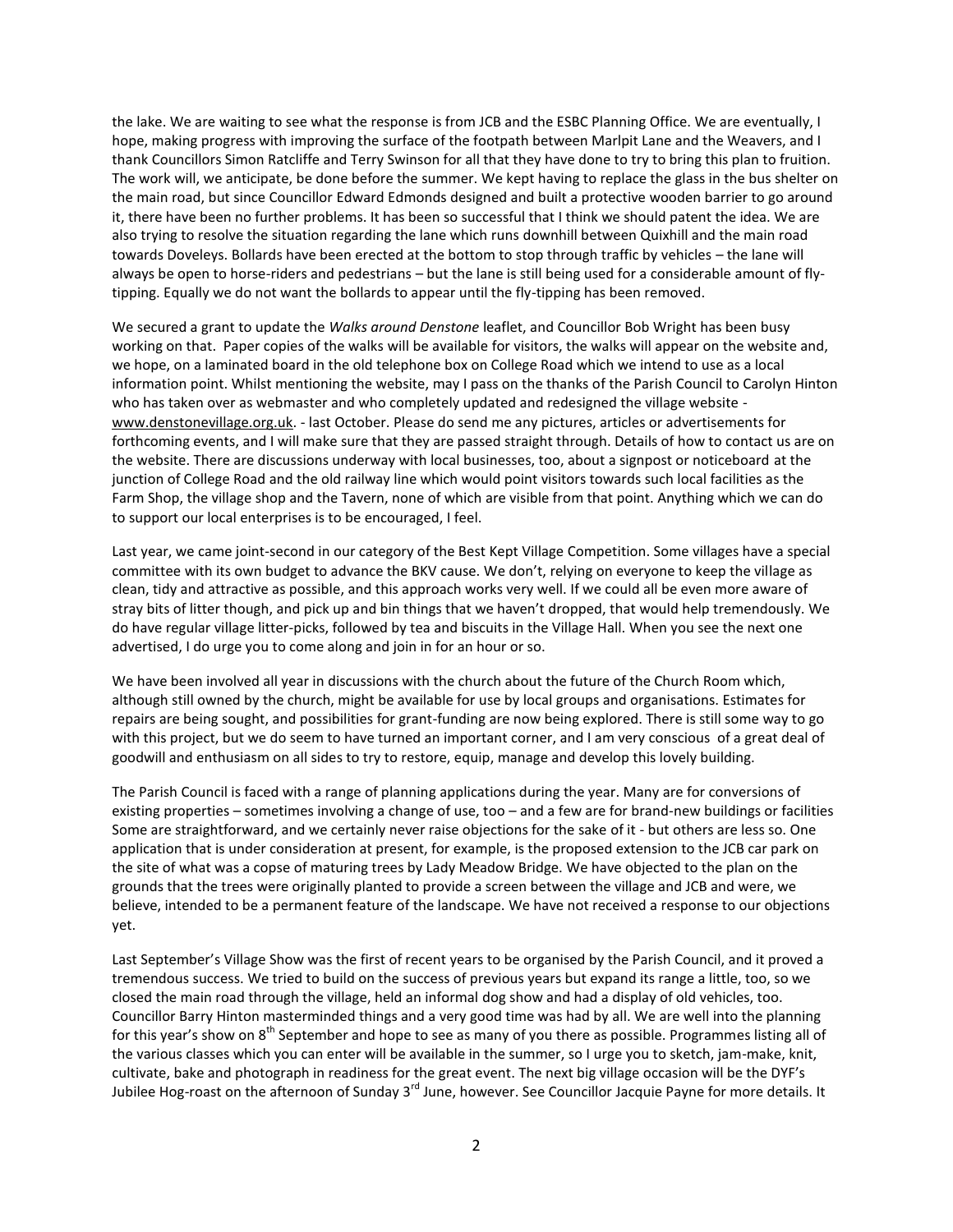the lake. We are waiting to see what the response is from JCB and the ESBC Planning Office. We are eventually, I hope, making progress with improving the surface of the footpath between Marlpit Lane and the Weavers, and I thank Councillors Simon Ratcliffe and Terry Swinson for all that they have done to try to bring this plan to fruition. The work will, we anticipate, be done before the summer. We kept having to replace the glass in the bus shelter on the main road, but since Councillor Edward Edmonds designed and built a protective wooden barrier to go around it, there have been no further problems. It has been so successful that I think we should patent the idea. We are also trying to resolve the situation regarding the lane which runs downhill between Quixhill and the main road towards Doveleys. Bollards have been erected at the bottom to stop through traffic by vehicles – the lane will always be open to horse-riders and pedestrians – but the lane is still being used for a considerable amount of flytipping. Equally we do not want the bollards to appear until the fly-tipping has been removed.

We secured a grant to update the *Walks around Denstone* leaflet, and Councillor Bob Wright has been busy working on that. Paper copies of the walks will be available for visitors, the walks will appear on the website and, we hope, on a laminated board in the old telephone box on College Road which we intend to use as a local information point. Whilst mentioning the website, may I pass on the thanks of the Parish Council to Carolyn Hinton who has taken over as webmaster and who completely updated and redesigned the village website [www.denstonevillage.org.uk.](http://www.denstonevillage.org.uk/) - last October. Please do send me any pictures, articles or advertisements for forthcoming events, and I will make sure that they are passed straight through. Details of how to contact us are on the website. There are discussions underway with local businesses, too, about a signpost or noticeboard at the junction of College Road and the old railway line which would point visitors towards such local facilities as the Farm Shop, the village shop and the Tavern, none of which are visible from that point. Anything which we can do to support our local enterprises is to be encouraged, I feel.

Last year, we came joint-second in our category of the Best Kept Village Competition. Some villages have a special committee with its own budget to advance the BKV cause. We don't, relying on everyone to keep the village as clean, tidy and attractive as possible, and this approach works very well. If we could all be even more aware of stray bits of litter though, and pick up and bin things that we haven't dropped, that would help tremendously. We do have regular village litter-picks, followed by tea and biscuits in the Village Hall. When you see the next one advertised, I do urge you to come along and join in for an hour or so.

We have been involved all year in discussions with the church about the future of the Church Room which, although still owned by the church, might be available for use by local groups and organisations. Estimates for repairs are being sought, and possibilities for grant-funding are now being explored. There is still some way to go with this project, but we do seem to have turned an important corner, and I am very conscious of a great deal of goodwill and enthusiasm on all sides to try to restore, equip, manage and develop this lovely building.

The Parish Council is faced with a range of planning applications during the year. Many are for conversions of existing properties – sometimes involving a change of use, too – and a few are for brand-new buildings or facilities Some are straightforward, and we certainly never raise objections for the sake of it - but others are less so. One application that is under consideration at present, for example, is the proposed extension to the JCB car park on the site of what was a copse of maturing trees by Lady Meadow Bridge. We have objected to the plan on the grounds that the trees were originally planted to provide a screen between the village and JCB and were, we believe, intended to be a permanent feature of the landscape. We have not received a response to our objections yet.

Last September's Village Show was the first of recent years to be organised by the Parish Council, and it proved a tremendous success. We tried to build on the success of previous years but expand its range a little, too, so we closed the main road through the village, held an informal dog show and had a display of old vehicles, too. Councillor Barry Hinton masterminded things and a very good time was had by all. We are well into the planning for this year's show on  $8<sup>th</sup>$  September and hope to see as many of you there as possible. Programmes listing all of the various classes which you can enter will be available in the summer, so I urge you to sketch, jam-make, knit, cultivate, bake and photograph in readiness for the great event. The next big village occasion will be the DYF's Jubilee Hog-roast on the afternoon of Sunday 3<sup>rd</sup> June, however. See Councillor Jacquie Payne for more details. It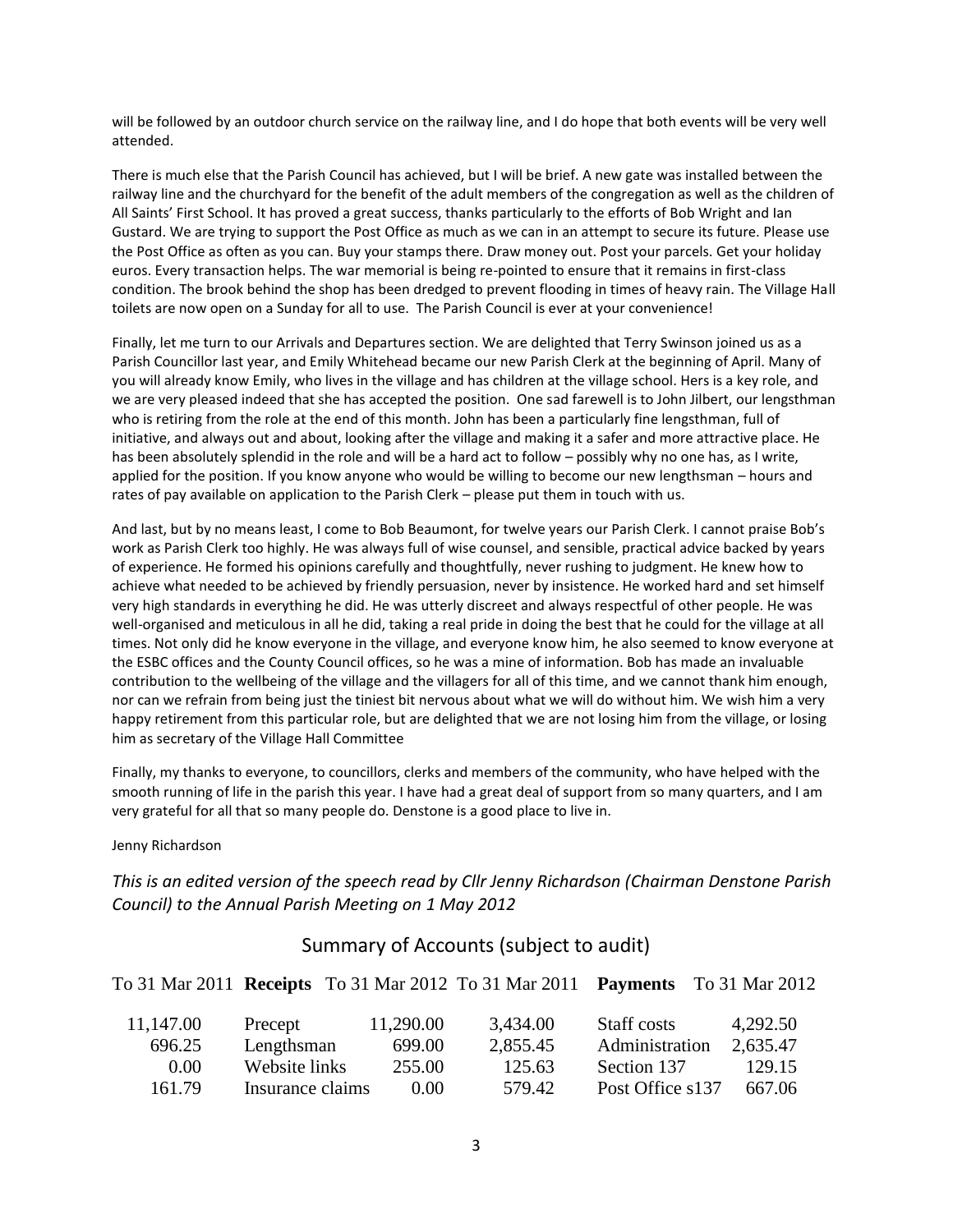will be followed by an outdoor church service on the railway line, and I do hope that both events will be very well attended.

There is much else that the Parish Council has achieved, but I will be brief. A new gate was installed between the railway line and the churchyard for the benefit of the adult members of the congregation as well as the children of All Saints' First School. It has proved a great success, thanks particularly to the efforts of Bob Wright and Ian Gustard. We are trying to support the Post Office as much as we can in an attempt to secure its future. Please use the Post Office as often as you can. Buy your stamps there. Draw money out. Post your parcels. Get your holiday euros. Every transaction helps. The war memorial is being re-pointed to ensure that it remains in first-class condition. The brook behind the shop has been dredged to prevent flooding in times of heavy rain. The Village Hall toilets are now open on a Sunday for all to use. The Parish Council is ever at your convenience!

Finally, let me turn to our Arrivals and Departures section. We are delighted that Terry Swinson joined us as a Parish Councillor last year, and Emily Whitehead became our new Parish Clerk at the beginning of April. Many of you will already know Emily, who lives in the village and has children at the village school. Hers is a key role, and we are very pleased indeed that she has accepted the position. One sad farewell is to John Jilbert, our lengsthman who is retiring from the role at the end of this month. John has been a particularly fine lengsthman, full of initiative, and always out and about, looking after the village and making it a safer and more attractive place. He has been absolutely splendid in the role and will be a hard act to follow – possibly why no one has, as I write, applied for the position. If you know anyone who would be willing to become our new lengthsman – hours and rates of pay available on application to the Parish Clerk – please put them in touch with us.

And last, but by no means least, I come to Bob Beaumont, for twelve years our Parish Clerk. I cannot praise Bob's work as Parish Clerk too highly. He was always full of wise counsel, and sensible, practical advice backed by years of experience. He formed his opinions carefully and thoughtfully, never rushing to judgment. He knew how to achieve what needed to be achieved by friendly persuasion, never by insistence. He worked hard and set himself very high standards in everything he did. He was utterly discreet and always respectful of other people. He was well-organised and meticulous in all he did, taking a real pride in doing the best that he could for the village at all times. Not only did he know everyone in the village, and everyone know him, he also seemed to know everyone at the ESBC offices and the County Council offices, so he was a mine of information. Bob has made an invaluable contribution to the wellbeing of the village and the villagers for all of this time, and we cannot thank him enough, nor can we refrain from being just the tiniest bit nervous about what we will do without him. We wish him a very happy retirement from this particular role, but are delighted that we are not losing him from the village, or losing him as secretary of the Village Hall Committee

Finally, my thanks to everyone, to councillors, clerks and members of the community, who have helped with the smooth running of life in the parish this year. I have had a great deal of support from so many quarters, and I am very grateful for all that so many people do. Denstone is a good place to live in.

#### Jenny Richardson

*This is an edited version of the speech read by Cllr Jenny Richardson (Chairman Denstone Parish Council) to the Annual Parish Meeting on 1 May 2012*

## Summary of Accounts (subject to audit)

|           |                  |           | To 31 Mar 2011 <b>Receipts</b> To 31 Mar 2012 To 31 Mar 2011 <b>Payments</b> To 31 Mar 2012 |                  |          |
|-----------|------------------|-----------|---------------------------------------------------------------------------------------------|------------------|----------|
| 11,147.00 | Precept          | 11,290.00 | 3,434.00                                                                                    | Staff costs      | 4,292.50 |
| 696.25    | Lengthsman       | 699.00    | 2,855.45                                                                                    | Administration   | 2,635.47 |
| 0.00      | Website links    | 255.00    | 125.63                                                                                      | Section 137      | 129.15   |
| 161.79    | Insurance claims | 0.00      | 579.42                                                                                      | Post Office s137 | 667.06   |